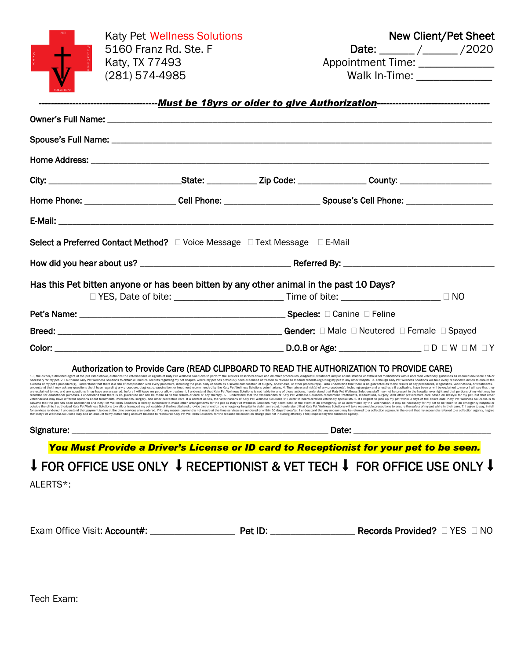|          | <b>Katy Pet Wellness Solutions</b>                                                                                                                                                                                                                                                                                                                                                                                                                                                                                                                                                                                                                                                                                                                                                                                                                                                                                                   |  | New Client/Pet Sheet |                                  |  |  |
|----------|--------------------------------------------------------------------------------------------------------------------------------------------------------------------------------------------------------------------------------------------------------------------------------------------------------------------------------------------------------------------------------------------------------------------------------------------------------------------------------------------------------------------------------------------------------------------------------------------------------------------------------------------------------------------------------------------------------------------------------------------------------------------------------------------------------------------------------------------------------------------------------------------------------------------------------------|--|----------------------|----------------------------------|--|--|
|          | 5160 Franz Rd. Ste. F                                                                                                                                                                                                                                                                                                                                                                                                                                                                                                                                                                                                                                                                                                                                                                                                                                                                                                                |  |                      | Date: ______/______/2020         |  |  |
|          | Katy, TX 77493                                                                                                                                                                                                                                                                                                                                                                                                                                                                                                                                                                                                                                                                                                                                                                                                                                                                                                                       |  |                      | Appointment Time: ______________ |  |  |
|          | (281) 574-4985                                                                                                                                                                                                                                                                                                                                                                                                                                                                                                                                                                                                                                                                                                                                                                                                                                                                                                                       |  |                      | Walk In-Time: _______________    |  |  |
|          |                                                                                                                                                                                                                                                                                                                                                                                                                                                                                                                                                                                                                                                                                                                                                                                                                                                                                                                                      |  |                      |                                  |  |  |
|          | ----------------------------------Must be 18yrs or older to give Authorization--------------------------------                                                                                                                                                                                                                                                                                                                                                                                                                                                                                                                                                                                                                                                                                                                                                                                                                       |  |                      |                                  |  |  |
|          |                                                                                                                                                                                                                                                                                                                                                                                                                                                                                                                                                                                                                                                                                                                                                                                                                                                                                                                                      |  |                      |                                  |  |  |
|          |                                                                                                                                                                                                                                                                                                                                                                                                                                                                                                                                                                                                                                                                                                                                                                                                                                                                                                                                      |  |                      |                                  |  |  |
|          |                                                                                                                                                                                                                                                                                                                                                                                                                                                                                                                                                                                                                                                                                                                                                                                                                                                                                                                                      |  |                      |                                  |  |  |
|          |                                                                                                                                                                                                                                                                                                                                                                                                                                                                                                                                                                                                                                                                                                                                                                                                                                                                                                                                      |  |                      |                                  |  |  |
|          | Home Phone: _______________________Cell Phone: __________________________Spouse's Cell Phone: ______________________                                                                                                                                                                                                                                                                                                                                                                                                                                                                                                                                                                                                                                                                                                                                                                                                                 |  |                      |                                  |  |  |
|          |                                                                                                                                                                                                                                                                                                                                                                                                                                                                                                                                                                                                                                                                                                                                                                                                                                                                                                                                      |  |                      |                                  |  |  |
|          | Select a Preferred Contact Method? □ Voice Message □ Text Message □ E-Mail                                                                                                                                                                                                                                                                                                                                                                                                                                                                                                                                                                                                                                                                                                                                                                                                                                                           |  |                      |                                  |  |  |
|          |                                                                                                                                                                                                                                                                                                                                                                                                                                                                                                                                                                                                                                                                                                                                                                                                                                                                                                                                      |  |                      |                                  |  |  |
|          | Has this Pet bitten anyone or has been bitten by any other animal in the past 10 Days?                                                                                                                                                                                                                                                                                                                                                                                                                                                                                                                                                                                                                                                                                                                                                                                                                                               |  |                      |                                  |  |  |
|          | □ YES, Date of bite: ______________________________ Time of bite: ________________________ □ NO                                                                                                                                                                                                                                                                                                                                                                                                                                                                                                                                                                                                                                                                                                                                                                                                                                      |  |                      |                                  |  |  |
|          |                                                                                                                                                                                                                                                                                                                                                                                                                                                                                                                                                                                                                                                                                                                                                                                                                                                                                                                                      |  |                      |                                  |  |  |
|          |                                                                                                                                                                                                                                                                                                                                                                                                                                                                                                                                                                                                                                                                                                                                                                                                                                                                                                                                      |  |                      |                                  |  |  |
|          |                                                                                                                                                                                                                                                                                                                                                                                                                                                                                                                                                                                                                                                                                                                                                                                                                                                                                                                                      |  |                      |                                  |  |  |
|          | Authorization to Provide Care (READ CLIPBOARD TO READ THE AUTHORIZATION TO PROVIDE CARE)<br>1. I, the owner/authorized agent of the pet listed above, authorize the veterinarians or agents of Katy Pet Wellness Solutions to perform the services described above and all other procedures, diagnostic, treatment and/or                                                                                                                                                                                                                                                                                                                                                                                                                                                                                                                                                                                                            |  |                      |                                  |  |  |
|          | necessary for my pet. 2. I authorize Katy Pet Wellness Solutions to obtain all medical records regarding my pet hospital where my pet has previously been examined or treated to release all medical records regarding my pet<br>success of my pet's procedure(s), I understand that there is a risk of complication with every procedure, including the possibility of death as a severe complication of surgery, anesthesia, or other procedure(s). I also un<br>understand that I may ask any questions that I have regarding any procedure, diagnostic, vaccination, or treatment recommended by the Katy Pet Wellness Solutions veterinarians. 4. The nature and risk(s) of any procedure(s)                                                                                                                                                                                                                                    |  |                      |                                  |  |  |
|          | are explained to me, and any questions I may have are answered, before I will leave my pet or allow treatment. I understand that Katy Pet Wellness Solutions is not liable for any of these actions. I understand that Katy Pe<br>recorded for educational purposes. I understand that there is no guarantee nor can be made as to the results or cure of any therapy. 5. I understand that the veterinarians of Katy Pet Wellness Solutions recommend treatment<br>veterinarians may have different opinions about treatments, medications, surgery, and other preventive care. If a conflict arises, the veterinarians of Katy Pet Wellness Solutions will defer to board-certified veterinary s<br>assume that the pet has been abandoned and Katy Pet Wellness Solutions is hereby authorized to make other arrangements for the pet as Katy Pet Wellness Solutions may deem best. In the event of an emergency, or as determine |  |                      |                                  |  |  |
|          | outside the clinic. I authorized Katy Pet Wellness Solutions to walk or transport my pet outside of the hospital and provide treatment by the emergency hospital to stabilize my pet. I understand that Katy Pet Wellness Solu<br>for services rendered. I understand that payment is due at the time services are rendered. If for any reason payment is not made at the time services are rendered. If for any reason payment is not made at the time services<br>that Katy Pet Wellness Solutions may add an amount to my outstanding account balance to reimburse Katy Pet Wellness Solutions for the reasonable collection charge (but not including attorney's fee) imposed by the collectio                                                                                                                                                                                                                                   |  |                      |                                  |  |  |
|          |                                                                                                                                                                                                                                                                                                                                                                                                                                                                                                                                                                                                                                                                                                                                                                                                                                                                                                                                      |  |                      |                                  |  |  |
|          | You Must Provide a Driver's License or ID card to Receptionist for your pet to be seen.                                                                                                                                                                                                                                                                                                                                                                                                                                                                                                                                                                                                                                                                                                                                                                                                                                              |  |                      |                                  |  |  |
|          | ↓ FOR OFFICE USE ONLY ↓ RECEPTIONIST & VET TECH ↓ FOR OFFICE USE ONLY ↓                                                                                                                                                                                                                                                                                                                                                                                                                                                                                                                                                                                                                                                                                                                                                                                                                                                              |  |                      |                                  |  |  |
| ALERTS*: |                                                                                                                                                                                                                                                                                                                                                                                                                                                                                                                                                                                                                                                                                                                                                                                                                                                                                                                                      |  |                      |                                  |  |  |
|          |                                                                                                                                                                                                                                                                                                                                                                                                                                                                                                                                                                                                                                                                                                                                                                                                                                                                                                                                      |  |                      |                                  |  |  |
|          |                                                                                                                                                                                                                                                                                                                                                                                                                                                                                                                                                                                                                                                                                                                                                                                                                                                                                                                                      |  |                      |                                  |  |  |
|          |                                                                                                                                                                                                                                                                                                                                                                                                                                                                                                                                                                                                                                                                                                                                                                                                                                                                                                                                      |  |                      |                                  |  |  |
|          |                                                                                                                                                                                                                                                                                                                                                                                                                                                                                                                                                                                                                                                                                                                                                                                                                                                                                                                                      |  |                      |                                  |  |  |